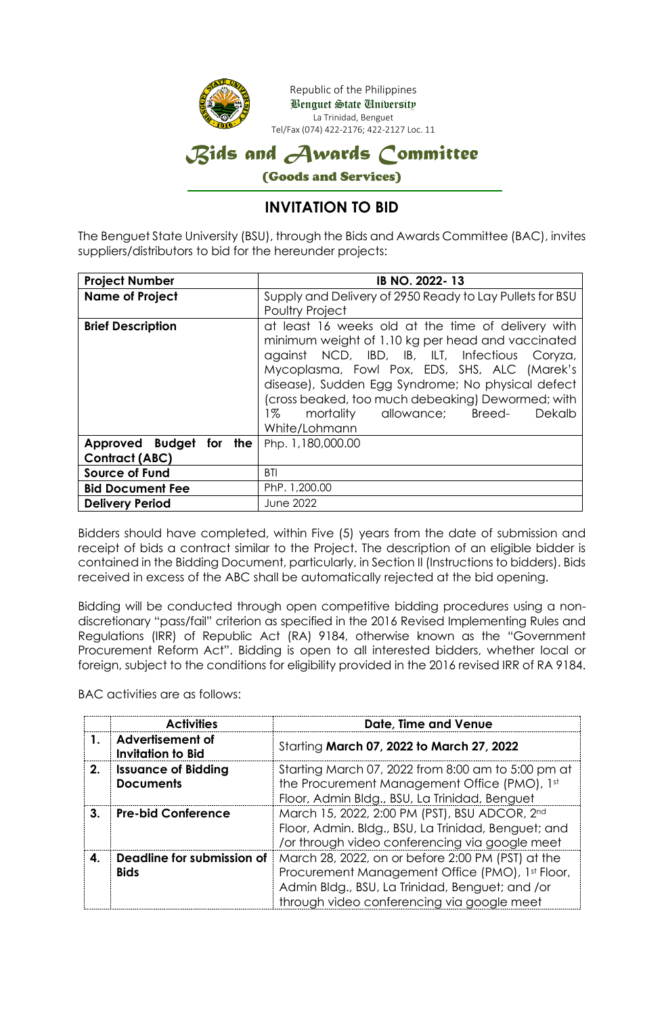

### **INVITATION TO BID**

The Benguet State University (BSU), through the Bids and Awards Committee (BAC), invites suppliers/distributors to bid for the hereunder projects:

| <b>Project Number</b>                        | IB NO. 2022-13                                                                                                                                                                                                                                                                                                                                                                     |  |
|----------------------------------------------|------------------------------------------------------------------------------------------------------------------------------------------------------------------------------------------------------------------------------------------------------------------------------------------------------------------------------------------------------------------------------------|--|
| <b>Name of Project</b>                       | Supply and Delivery of 2950 Ready to Lay Pullets for BSU<br><b>Poultry Project</b>                                                                                                                                                                                                                                                                                                 |  |
| <b>Brief Description</b>                     | at least 16 weeks old at the time of delivery with<br>minimum weight of 1.10 kg per head and vaccinated<br>against NCD, IBD, IB, ILT, Infectious Coryza,<br>Mycoplasma, Fowl Pox, EDS, SHS, ALC (Marek's<br>disease), Sudden Egg Syndrome; No physical defect<br>(cross beaked, too much debeaking) Dewormed; with<br>mortality allowance; Breed-<br>1%<br>Dekalb<br>White/Lohmann |  |
| Approved Budget for<br>the<br>Contract (ABC) | Php. 1,180,000.00                                                                                                                                                                                                                                                                                                                                                                  |  |
| <b>Source of Fund</b>                        | BTI                                                                                                                                                                                                                                                                                                                                                                                |  |
| <b>Bid Document Fee</b>                      | PhP. 1,200.00                                                                                                                                                                                                                                                                                                                                                                      |  |
| <b>Delivery Period</b>                       | June 2022                                                                                                                                                                                                                                                                                                                                                                          |  |

Bidders should have completed, within Five (5) years from the date of submission and receipt of bids a contract similar to the Project. The description of an eligible bidder is contained in the Bidding Document, particularly, in Section II (Instructions to bidders). Bids received in excess of the ABC shall be automatically rejected at the bid opening.

Bidding will be conducted through open competitive bidding procedures using a nondiscretionary "pass/fail" criterion as specified in the 2016 Revised Implementing Rules and Regulations (IRR) of Republic Act (RA) 9184, otherwise known as the "Government Procurement Reform Act". Bidding is open to all interested bidders, whether local or foreign, subject to the conditions for eligibility provided in the 2016 revised IRR of RA 9184.

BAC activities are as follows:

|    | <b>Activities</b>                                   | Date, Time and Venue                                                                                                                                                                                  |
|----|-----------------------------------------------------|-------------------------------------------------------------------------------------------------------------------------------------------------------------------------------------------------------|
|    | <b>Advertisement of</b><br><b>Invitation to Bid</b> | Starting March 07, 2022 to March 27, 2022                                                                                                                                                             |
| 2. | <b>Issuance of Bidding</b><br><b>Documents</b>      | Starting March 07, 2022 from 8:00 am to 5:00 pm at<br>the Procurement Management Office (PMO), 1st<br>Floor, Admin Bldg., BSU, La Trinidad, Benguet                                                   |
| 3. | <b>Pre-bid Conference</b>                           | March 15, 2022, 2:00 PM (PST), BSU ADCOR, 2nd<br>Floor, Admin. Bldg., BSU, La Trinidad, Benguet; and<br>/or through video conferencing via google meet                                                |
| 4. | Deadline for submission of<br><b>Bids</b>           | March 28, 2022, on or before 2:00 PM (PST) at the<br>Procurement Management Office (PMO), 1st Floor,<br>Admin Bldg., BSU, La Trinidad, Benguet; and /or<br>through video conferencing via google meet |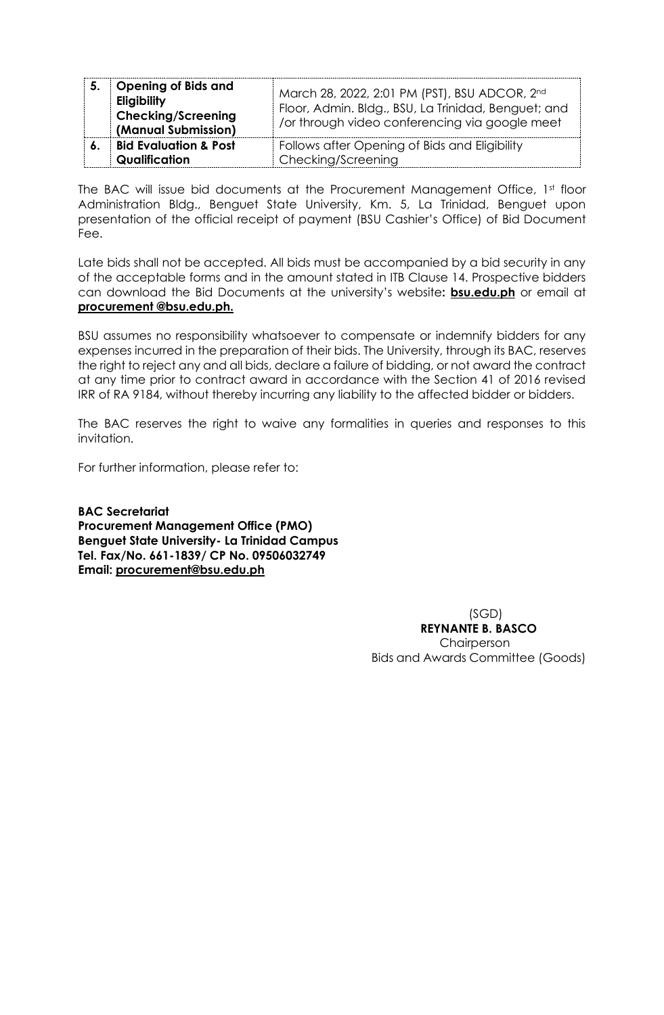| 5. | <b>Opening of Bids and</b><br>Eligibility<br><b>Checking/Screening</b><br>(Manual Submission) | March 28, 2022, 2:01 PM (PST), BSU ADCOR, 2nd<br>Floor, Admin. Bldg., BSU, La Trinidad, Benguet; and<br>/or through video conferencing via google meet |
|----|-----------------------------------------------------------------------------------------------|--------------------------------------------------------------------------------------------------------------------------------------------------------|
|    | <b>Bid Evaluation &amp; Post</b><br>Qualification                                             | Follows after Opening of Bids and Eligibility<br>Checking/Screening                                                                                    |

The BAC will issue bid documents at the Procurement Management Office, 1st floor Administration Bldg., Benguet State University, Km. 5, La Trinidad, Benguet upon presentation of the official receipt of payment (BSU Cashier's Office) of Bid Document Fee.

Late bids shall not be accepted. All bids must be accompanied by a bid security in any of the acceptable forms and in the amount stated in ITB Clause 14. Prospective bidders can download the Bid Documents at the university's website**: bsu.edu.ph** or email at **procurement @bsu.edu.ph.**

BSU assumes no responsibility whatsoever to compensate or indemnify bidders for any expenses incurred in the preparation of their bids. The University, through its BAC, reserves the right to reject any and all bids, declare a failure of bidding, or not award the contract at any time prior to contract award in accordance with the Section 41 of 2016 revised IRR of RA 9184, without thereby incurring any liability to the affected bidder or bidders.

The BAC reserves the right to waive any formalities in queries and responses to this invitation.

For further information, please refer to:

**BAC Secretariat Procurement Management Office (PMO) Benguet State University- La Trinidad Campus Tel. Fax/No. 661-1839/ CP No. 09506032749 Email: [procurement@bsu.edu.ph](mailto:procurement@bsu.edu.ph)**

> (SGD) **REYNANTE B. BASCO** Chairperson Bids and Awards Committee (Goods)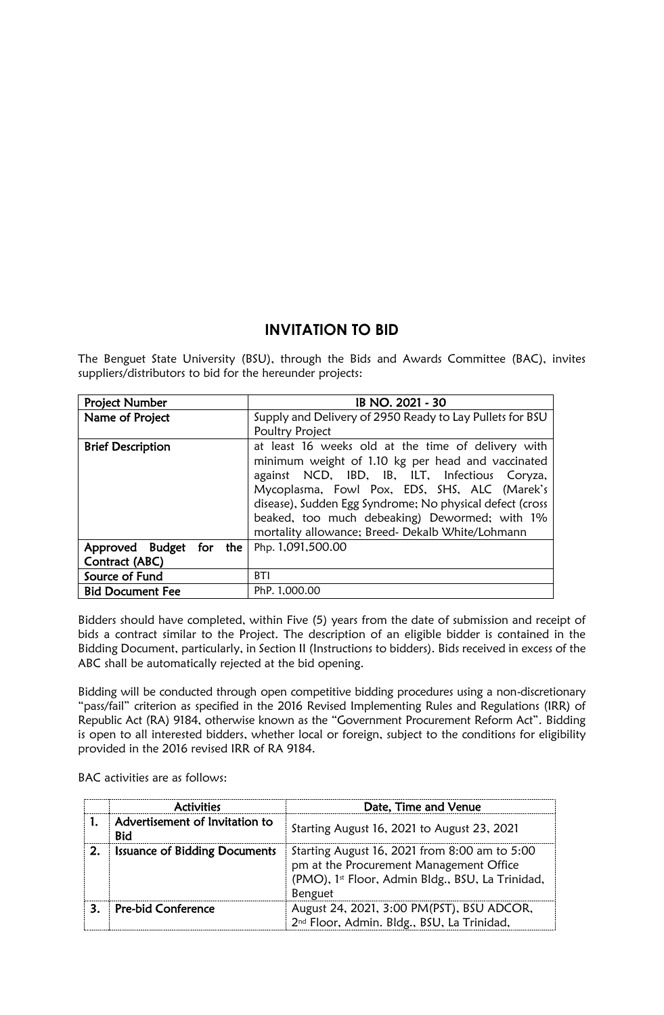#### **INVITATION TO BID**

The Benguet State University (BSU), through the Bids and Awards Committee (BAC), invites suppliers/distributors to bid for the hereunder projects:

| <b>Project Number</b>    | IB NO. 2021 - 30                                         |  |
|--------------------------|----------------------------------------------------------|--|
| Name of Project          | Supply and Delivery of 2950 Ready to Lay Pullets for BSU |  |
|                          | Poultry Project                                          |  |
| <b>Brief Description</b> | at least 16 weeks old at the time of delivery with       |  |
|                          | minimum weight of 1.10 kg per head and vaccinated        |  |
|                          | against NCD, IBD, IB, ILT, Infectious Coryza,            |  |
|                          | Mycoplasma, Fowl Pox, EDS, SHS, ALC (Marek's             |  |
|                          | disease), Sudden Egg Syndrome; No physical defect (cross |  |
|                          | beaked, too much debeaking) Dewormed; with 1%            |  |
|                          | mortality allowance; Breed- Dekalb White/Lohmann         |  |
| Approved Budget for the  | Php. 1,091,500.00                                        |  |
| Contract (ABC)           |                                                          |  |
| Source of Fund           | <b>BTI</b>                                               |  |
| <b>Bid Document Fee</b>  | PhP. 1.000.00                                            |  |

Bidders should have completed, within Five (5) years from the date of submission and receipt of bids a contract similar to the Project. The description of an eligible bidder is contained in the Bidding Document, particularly, in Section II (Instructions to bidders). Bids received in excess of the ABC shall be automatically rejected at the bid opening.

Bidding will be conducted through open competitive bidding procedures using a non-discretionary "pass/fail" criterion as specified in the 2016 Revised Implementing Rules and Regulations (IRR) of Republic Act (RA) 9184, otherwise known as the "Government Procurement Reform Act". Bidding is open to all interested bidders, whether local or foreign, subject to the conditions for eligibility provided in the 2016 revised IRR of RA 9184.

BAC activities are as follows:

|    | <b>Activities</b>                            | Date, Time and Venue                                                                                                                                    |
|----|----------------------------------------------|---------------------------------------------------------------------------------------------------------------------------------------------------------|
|    | Advertisement of Invitation to<br><b>Bid</b> | Starting August 16, 2021 to August 23, 2021                                                                                                             |
| 2. | <b>Issuance of Bidding Documents</b>         | Starting August 16, 2021 from 8:00 am to 5:00<br>pm at the Procurement Management Office<br>(PMO), 1st Floor, Admin Bldg., BSU, La Trinidad,<br>Benguet |
| 3. | Pre-bid Conference                           | August 24, 2021, 3:00 PM(PST), BSU ADCOR,<br>2 <sup>nd</sup> Floor, Admin. Bldg., BSU, La Trinidad,                                                     |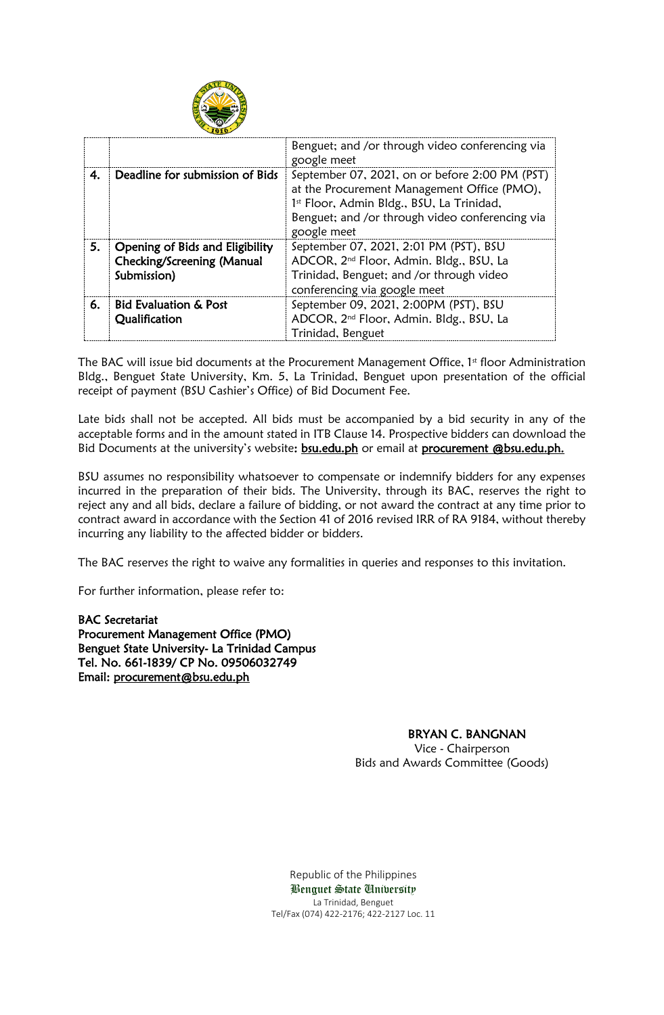

|    |                                                                              | Benguet; and /or through video conferencing via<br>google meet                                                                                                                                               |
|----|------------------------------------------------------------------------------|--------------------------------------------------------------------------------------------------------------------------------------------------------------------------------------------------------------|
| 4. | Deadline for submission of Bids                                              | September 07, 2021, on or before 2:00 PM (PST)<br>at the Procurement Management Office (PMO),<br>1st Floor, Admin Bldg., BSU, La Trinidad,<br>Benguet; and /or through video conferencing via<br>google meet |
| 5. | Opening of Bids and Eligibility<br>Checking/Screening (Manual<br>Submission) | September 07, 2021, 2:01 PM (PST), BSU<br>ADCOR, 2 <sup>nd</sup> Floor, Admin. Bldg., BSU, La<br>Trinidad, Benguet; and /or through video<br>conferencing via google meet                                    |
| 6. | <b>Bid Evaluation &amp; Post</b><br>Qualification                            | September 09, 2021, 2:00PM (PST), BSU<br>ADCOR, 2 <sup>nd</sup> Floor, Admin. Bldg., BSU, La<br>Trinidad, Benguet                                                                                            |

The BAC will issue bid documents at the Procurement Management Office, 1<sup>st</sup> floor Administration Bldg., Benguet State University, Km. 5, La Trinidad, Benguet upon presentation of the official receipt of payment (BSU Cashier's Office) of Bid Document Fee.

Late bids shall not be accepted. All bids must be accompanied by a bid security in any of the acceptable forms and in the amount stated in ITB Clause 14. Prospective bidders can download the Bid Documents at the university's website: **bsu.edu.ph** or email at **procurement @bsu.edu.ph.** 

BSU assumes no responsibility whatsoever to compensate or indemnify bidders for any expenses incurred in the preparation of their bids. The University, through its BAC, reserves the right to reject any and all bids, declare a failure of bidding, or not award the contract at any time prior to contract award in accordance with the Section 41 of 2016 revised IRR of RA 9184, without thereby incurring any liability to the affected bidder or bidders.

The BAC reserves the right to waive any formalities in queries and responses to this invitation.

For further information, please refer to:

BAC Secretariat Procurement Management Office (PMO) Benguet State University- La Trinidad Campus Tel. No. 661-1839/ CP No. 09506032749 Email: [procurement@bsu.edu.ph](mailto:procurement@bsu.edu.ph) 

# BRYAN C. BANGNAN

 Vice - Chairperson Bids and Awards Committee (Goods)

Republic of the Philippines Benguet State University La Trinidad, Benguet Tel/Fax (074) 422-2176; 422-2127 Loc. 11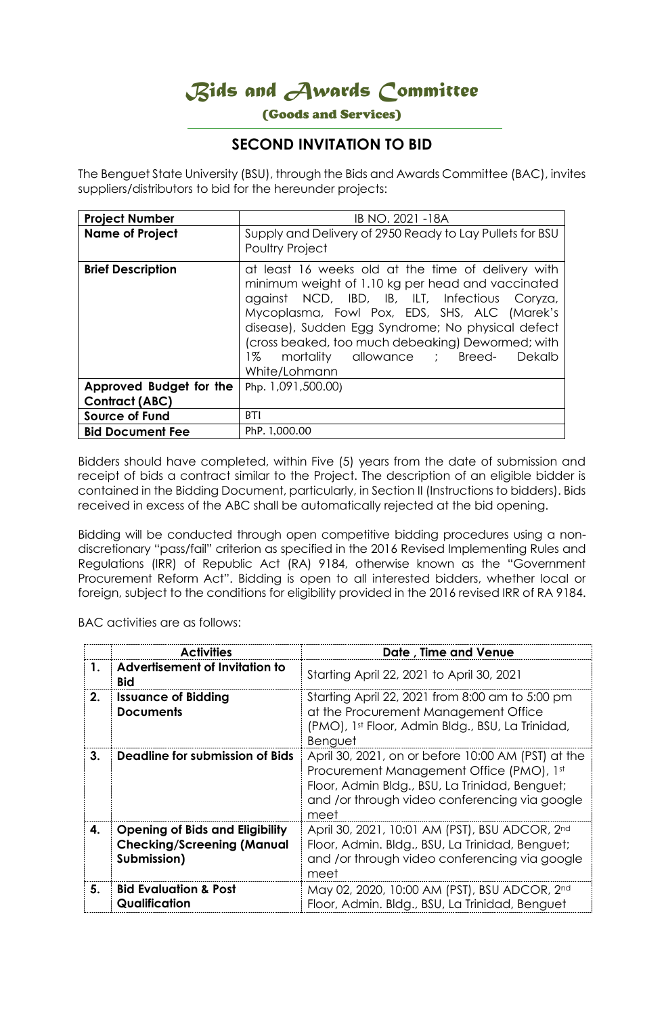*Bids and Awards Committee* 

(Goods and Services)

## **SECOND INVITATION TO BID**

The Benguet State University (BSU), through the Bids and Awards Committee (BAC), invites suppliers/distributors to bid for the hereunder projects:

| <b>Project Number</b>    | IB NO. 2021 -18A                                                                                                                                                                                                                                                                                                                                                                    |  |
|--------------------------|-------------------------------------------------------------------------------------------------------------------------------------------------------------------------------------------------------------------------------------------------------------------------------------------------------------------------------------------------------------------------------------|--|
| <b>Name of Project</b>   | Supply and Delivery of 2950 Ready to Lay Pullets for BSU<br><b>Poultry Project</b>                                                                                                                                                                                                                                                                                                  |  |
| <b>Brief Description</b> | at least 16 weeks old at the time of delivery with<br>minimum weight of 1.10 kg per head and vaccinated<br>against NCD, IBD, IB, ILT, Infectious Coryza,<br>Mycoplasma, Fowl Pox, EDS, SHS, ALC (Marek's<br>disease), Sudden Egg Syndrome; No physical defect<br>(cross beaked, too much debeaking) Dewormed; with<br>mortality allowance ; Breed-<br>1%<br>Dekalb<br>White/Lohmann |  |
| Approved Budget for the  | Php. 1,091,500.00)                                                                                                                                                                                                                                                                                                                                                                  |  |
| Contract (ABC)           |                                                                                                                                                                                                                                                                                                                                                                                     |  |
| <b>Source of Fund</b>    | <b>BTI</b>                                                                                                                                                                                                                                                                                                                                                                          |  |
| <b>Bid Document Fee</b>  | PhP. 1,000.00                                                                                                                                                                                                                                                                                                                                                                       |  |

Bidders should have completed, within Five (5) years from the date of submission and receipt of bids a contract similar to the Project. The description of an eligible bidder is contained in the Bidding Document, particularly, in Section II (Instructions to bidders). Bids received in excess of the ABC shall be automatically rejected at the bid opening.

Bidding will be conducted through open competitive bidding procedures using a nondiscretionary "pass/fail" criterion as specified in the 2016 Revised Implementing Rules and Regulations (IRR) of Republic Act (RA) 9184, otherwise known as the "Government Procurement Reform Act". Bidding is open to all interested bidders, whether local or foreign, subject to the conditions for eligibility provided in the 2016 revised IRR of RA 9184.

BAC activities are as follows:

|    | <b>Activities</b>                                                                          | Date, Time and Venue                                                                                                                                                                                      |
|----|--------------------------------------------------------------------------------------------|-----------------------------------------------------------------------------------------------------------------------------------------------------------------------------------------------------------|
| 1. | Advertisement of Invitation to<br><b>Bid</b>                                               | Starting April 22, 2021 to April 30, 2021                                                                                                                                                                 |
| 2. | <b>Issuance of Bidding</b><br><b>Documents</b>                                             | Starting April 22, 2021 from 8:00 am to 5:00 pm<br>at the Procurement Management Office<br>(PMO), 1st Floor, Admin Bldg., BSU, La Trinidad,<br>Benguet                                                    |
| 3. | Deadline for submission of Bids                                                            | April 30, 2021, on or before 10:00 AM (PST) at the<br>Procurement Management Office (PMO), 1st<br>Floor, Admin Bldg., BSU, La Trinidad, Benguet;<br>and /or through video conferencing via google<br>meet |
| 4. | <b>Opening of Bids and Eligibility</b><br><b>Checking/Screening (Manual</b><br>Submission) | April 30, 2021, 10:01 AM (PST), BSU ADCOR, 2nd<br>Floor, Admin. Bldg., BSU, La Trinidad, Benguet;<br>and /or through video conferencing via google<br>meet                                                |
| 5. | <b>Bid Evaluation &amp; Post</b><br>Qualification                                          | May 02, 2020, 10:00 AM (PST), BSU ADCOR, 2nd<br>Floor, Admin. Bldg., BSU, La Trinidad, Benguet                                                                                                            |